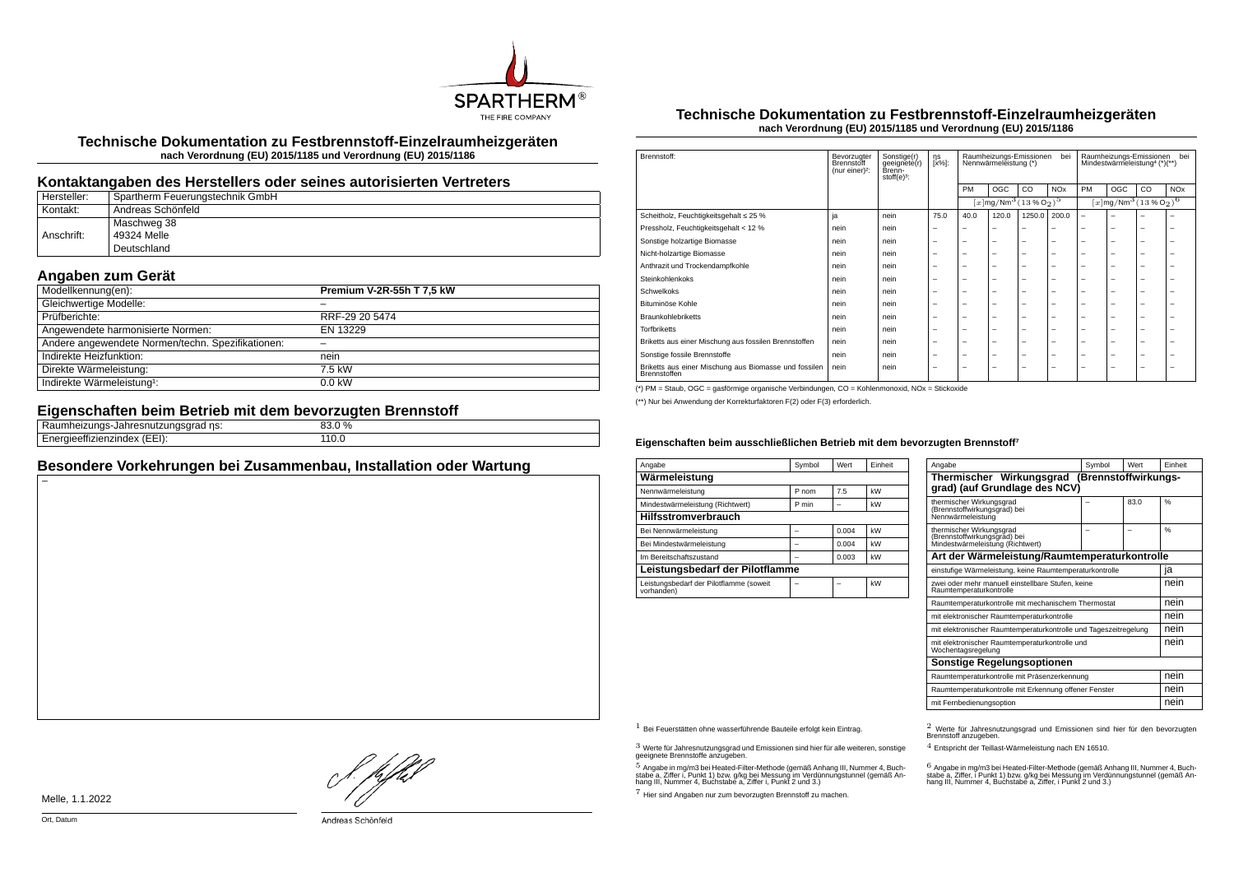

**Technische Dokumentation zu Festbrennstoff-Einzelraumheizgeräten nach Verordnung (EU) 2015/1185 und Verordnung (EU) 2015/1186**

### **Kontaktangaben des Herstellers oder seines autorisierten Vertreters**

| Hersteller: | Spartherm Feuerungstechnik GmbH |
|-------------|---------------------------------|
| Kontakt:    | Andreas Schönfeld               |
|             | Maschweg 38                     |
| Anschrift:  | 49324 Melle                     |
|             | Deutschland                     |

## **Angaben zum Gerät**

| Modellkennung(en):                                | Premium V-2R-55h T 7,5 kW |
|---------------------------------------------------|---------------------------|
| Gleichwertige Modelle:                            |                           |
| Prüfberichte:                                     | RRF-29 20 5474            |
| Angewendete harmonisierte Normen:                 | EN 13229                  |
| Andere angewendete Normen/techn. Spezifikationen: |                           |
| Indirekte Heizfunktion:                           | nein                      |
| Direkte Wärmeleistung:                            | 7.5 kW                    |
| Indirekte Wärmeleistung <sup>1</sup> :            | $0.0$ kW                  |

## **Eigenschaften beim Betrieb mit dem bevorzugten Brennstoff**

| __                                                                               |              |  |
|----------------------------------------------------------------------------------|--------------|--|
| .<br>---------<br>.<br>ns:<br>411 IOP<br>лапге<br>ıau<br>.                       | 33.0 %<br>nn |  |
| $\overline{\phantom{0}}$<br><br>$- - - - - - -$<br>mzingex<br>. <i>. .</i><br>__ | ⊥⊥∪.∪        |  |
|                                                                                  |              |  |

## **Besondere Vorkehrungen bei Zusammenbau, Installation oder Wartung**

#### **Technische Dokumentation zu Festbrennstoff-Einzelraumheizgeräten nach Verordnung (EU) 2015/1185 und Verordnung (EU) 2015/1186**

| Brennstoff:                                                           | Bevorzugter<br>Brennstoff<br>(nur einer) <sup>2</sup> : | Sonstige(r)<br>geeignete(r)<br>Brenn-<br>stoff $(e)^3$ : | ηs<br>[x%]: | Raumheizungs-Emissionen<br>bei<br>Nennwärmeleistung (*) |                                                                   |                          | Raumheizungs-Emissionen<br>bei<br>Mindestwärmeleistung <sup>4</sup> (*)(**) |                                               |     |    |                       |
|-----------------------------------------------------------------------|---------------------------------------------------------|----------------------------------------------------------|-------------|---------------------------------------------------------|-------------------------------------------------------------------|--------------------------|-----------------------------------------------------------------------------|-----------------------------------------------|-----|----|-----------------------|
|                                                                       |                                                         |                                                          |             | PM                                                      | OGC                                                               | CO.                      | <b>NO<sub>x</sub></b>                                                       | PM                                            | OGC | CO | <b>NO<sub>x</sub></b> |
|                                                                       |                                                         |                                                          |             |                                                         | $[x \, \text{mg}/\text{Nm}^3 \, (13 \, \text{%} \, \text{O}_2)^5$ |                          |                                                                             | $[x \text{mg}/\text{Nm}^3 \text{ (13 %O2)}^6$ |     |    |                       |
| Scheitholz, Feuchtigkeitsgehalt ≤ 25 %                                | ja                                                      | nein                                                     | 75.0        | 40.0                                                    | 120.0                                                             | 1250.0                   | 200.0                                                                       | $\overline{\phantom{0}}$                      | ۰   |    |                       |
| Pressholz, Feuchtigkeitsgehalt < 12 %                                 | nein                                                    | nein                                                     | -           |                                                         | -                                                                 | -                        |                                                                             |                                               | -   | -  | -                     |
| Sonstige holzartige Biomasse                                          | nein                                                    | nein                                                     | -           | -                                                       | $\overline{\phantom{a}}$                                          | $\overline{\phantom{0}}$ | -                                                                           | -                                             | -   | -  | -                     |
| Nicht-holzartige Biomasse                                             | nein                                                    | nein                                                     | -           | -                                                       | -                                                                 | $\overline{\phantom{0}}$ | -                                                                           | -                                             | -   | -  | -                     |
| Anthrazit und Trockendampfkohle                                       | nein                                                    | nein                                                     | -           | -                                                       | $\overline{\phantom{a}}$                                          | $\overline{\phantom{0}}$ | -                                                                           | -                                             | -   | -  | -                     |
| Steinkohlenkoks                                                       | nein                                                    | nein                                                     | -           | -                                                       | $\overline{\phantom{a}}$                                          | $\overline{\phantom{0}}$ | -                                                                           | -                                             | -   | -  | -                     |
| Schwelkoks                                                            | nein                                                    | nein                                                     | -           | -                                                       | -                                                                 | -                        | -                                                                           | -                                             | -   | -  | ۰                     |
| Bituminöse Kohle                                                      | nein                                                    | nein                                                     | -           | -                                                       | -                                                                 | -                        | -                                                                           | -                                             | -   | -  | -                     |
| <b>Braunkohlebriketts</b>                                             | nein                                                    | nein                                                     | -           | -                                                       | $\overline{\phantom{a}}$                                          | $\overline{\phantom{0}}$ | -                                                                           | -                                             | -   | -  | -                     |
| <b>Torfbriketts</b>                                                   | nein                                                    | nein                                                     | -           | -                                                       | $\overline{\phantom{a}}$                                          | $\overline{\phantom{0}}$ | -                                                                           | -                                             | -   | -  | -                     |
| Briketts aus einer Mischung aus fossilen Brennstoffen                 | nein                                                    | nein                                                     | -           | -                                                       | $\overline{\phantom{a}}$                                          | $\overline{\phantom{0}}$ | -                                                                           | -                                             | -   | -  | -                     |
| Sonstige fossile Brennstoffe                                          | nein                                                    | nein                                                     | -           | -                                                       | $\overline{\phantom{a}}$                                          | $\overline{\phantom{0}}$ | -                                                                           | -                                             | -   | -  | -                     |
| Briketts aus einer Mischung aus Biomasse und fossilen<br>Brennstoffen | nein                                                    | nein                                                     | -           | -                                                       | -                                                                 | -                        | -                                                                           | -                                             | -   | -  | -                     |

(\*) PM = Staub, OGC = gasförmige organische Verbindungen, CO = Kohlenmonoxid, NOx = Stickoxide

(\*\*) Nur bei Anwendung der Korrekturfaktoren F(2) oder F(3) erforderlich.

#### **Eigenschaften beim ausschließlichen Betrieb mit dem bevorzugten Brennstoff⁷**

| Angabe                                                | Symbol | Wert  | Einheit |  |  |  |
|-------------------------------------------------------|--------|-------|---------|--|--|--|
| Wärmeleistung                                         |        |       |         |  |  |  |
| Nennwärmeleistung                                     | P nom  | 7.5   | kW      |  |  |  |
| Mindestwärmeleistung (Richtwert)                      | P min  |       | kW      |  |  |  |
| <b>Hilfsstromverbrauch</b>                            |        |       |         |  |  |  |
| Bei Nennwärmeleistung                                 |        | 0.004 | kW      |  |  |  |
| Bei Mindestwärmeleistung                              |        | 0.004 | kW      |  |  |  |
| Im Bereitschaftszustand                               |        | 0.003 | kW      |  |  |  |
| Leistungsbedarf der Pilotflamme                       |        |       |         |  |  |  |
| Leistungsbedarf der Pilotflamme (soweit<br>vorhanden) |        |       | kW      |  |  |  |

| Angabe                                                                                       | Symbol | Wert | Finheit       |  |  |
|----------------------------------------------------------------------------------------------|--------|------|---------------|--|--|
| Thermischer Wirkungsgrad (Brennstoffwirkungs-<br>grad) (auf Grundlage des NCV)               |        |      |               |  |  |
| thermischer Wirkungsgrad<br>(Brennstoffwirkungsgrad) bei<br>Nennwärmeleistung                |        | 83.0 | $\frac{0}{6}$ |  |  |
| thermischer Wirkungsgrad<br>(Brennstoffwirkungsgrad) bei<br>Mindestwärmeleistung (Richtwert) |        |      | $\frac{9}{6}$ |  |  |
| Art der Wärmeleistung/Raumtemperaturkontrolle                                                |        |      |               |  |  |
| einstufige Wärmeleistung, keine Raumtemperaturkontrolle                                      |        |      | ıa            |  |  |
| zwei oder mehr manuell einstellbare Stufen, keine<br>Raumtemperaturkontrolle                 |        |      |               |  |  |
| Raumtemperaturkontrolle mit mechanischem Thermostat                                          |        |      | nein          |  |  |
| mit elektronischer Raumtemperaturkontrolle                                                   |        |      | nein          |  |  |
| mit elektronischer Raumtemperaturkontrolle und Tageszeitregelung                             |        |      | nein          |  |  |
| mit elektronischer Raumtemperaturkontrolle und<br>Wochentagsregelung                         |        |      | nein          |  |  |
| Sonstige Regelungsoptionen                                                                   |        |      |               |  |  |
| Raumtemperaturkontrolle mit Präsenzerkennung                                                 |        |      | nein          |  |  |
| Raumtemperaturkontrolle mit Erkennung offener Fenster                                        |        |      | nein          |  |  |
| mit Fernbedienungsoption                                                                     |        |      | nein          |  |  |

 $3$  Werte für Jahresnutzungsgrad und Emissionen sind hier für alle weiteren, sonstige geeignete Brennstoffe anzugeben.

 $5$  Angabe in mg/m3 bei Heated-Filter-Methode (gemäß Anhang III, Nummer 4, Buchstabe a, Ziffer i, Punkt 1) bzw. g/kg bei Messung im Verdünnungstunnel (gemäß An-hang III, Nummer 4, Buchstabe a, Ziffer i, Punkt 2 und 3.)

7 Hier sind Angaben nur zum bevorzugten Brennstoff zu machen.

1 Bei Feuerstätten ohne wasserführende Bauteile erfolgt kein Eintrag. 2 Werte für Jahresnutzungsgrad und Emissionen sind hier für den bevorzugten Brennstoff anzugeben.

4 Entspricht der Teillast-Wärmeleistung nach EN 16510.

.<br>stabe a, Ziffer, i Punkt 1) bzw. g/kg bei Messung im Verdünnungstunnel (gemäß An-<br>hang III, Nummer 4, Buchstabe a, Ziffer, i Punkt 2 und 3.)<br>hang III, Nummer 4, Buchstabe a, Ziffer, i Punkt 2 und 3.)

Melle, 1.1.2022

f. pfbd

Andreas Schönfeld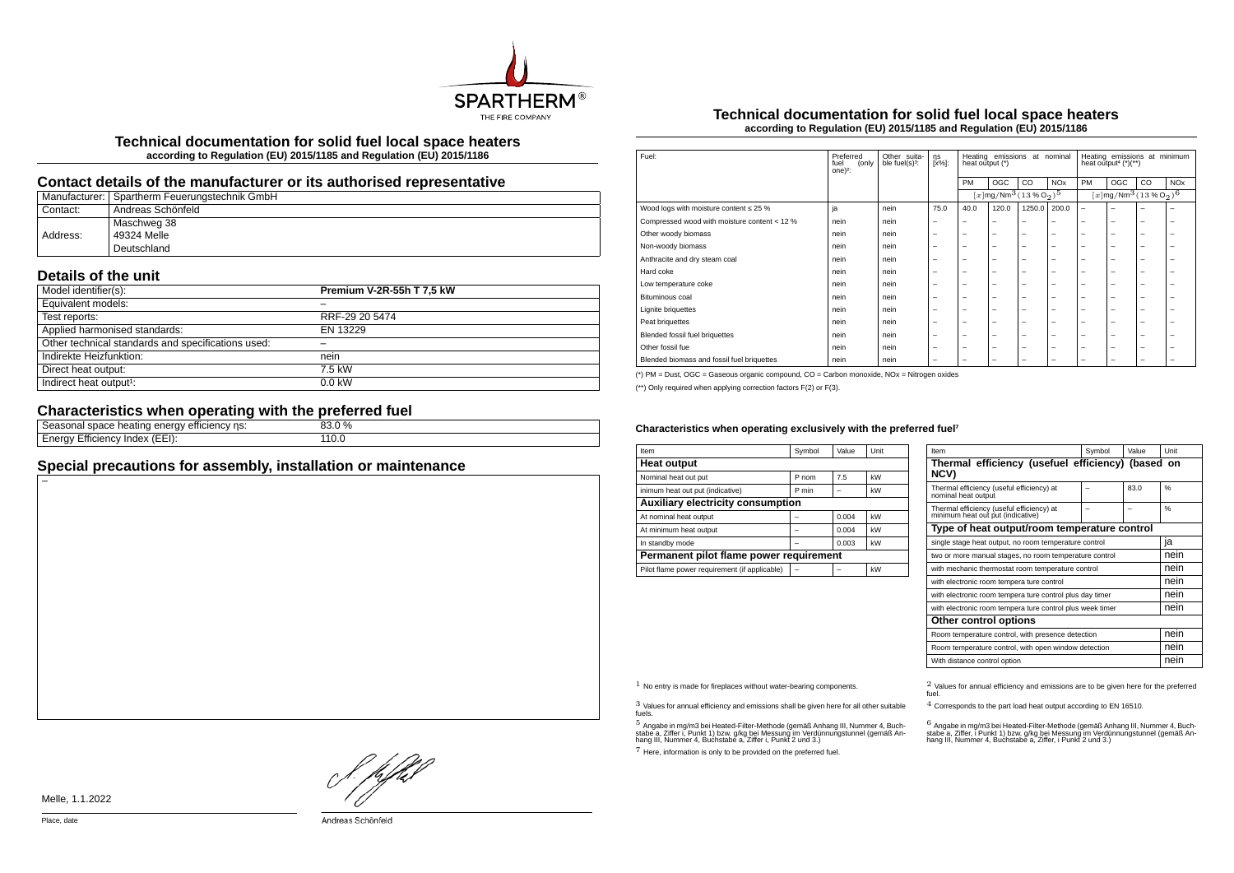

**Technical documentation for solid fuel local space heaters according to Regulation (EU) 2015/1185 and Regulation (EU) 2015/1186**

## **Contact details of the manufacturer or its authorised representative**

|          | Manufacturer:   Spartherm Feuerungstechnik GmbH |
|----------|-------------------------------------------------|
| Contact: | Andreas Schönfeld                               |
|          | Maschweg 38                                     |
| Address: | 49324 Melle                                     |
|          | Deutschland                                     |

# **Details of the unit**

| Model identifier(s):                               | Premium V-2R-55h T 7,5 kW |
|----------------------------------------------------|---------------------------|
| Equivalent models:                                 |                           |
| Test reports:                                      | RRF-29 20 5474            |
| Applied harmonised standards:                      | EN 13229                  |
| Other technical standards and specifications used: |                           |
| Indirekte Heizfunktion:                            | nein                      |
| Direct heat output:                                | 7.5 kW                    |
| Indirect heat output <sup>1</sup> :                | $0.0$ kW                  |

# **Characteristics when operating with the preferred fuel**

| ns:<br>emcienc<br>чеашк<br><b>- الماد</b><br>וומו ונור<br>-<br>ັ                      | $\frac{0}{0}$ |  |
|---------------------------------------------------------------------------------------|---------------|--|
| -⊢⊢≀<br>nae<br>nenc<br>πи<br>rn.<br>۱۱۴ ا<br>\ __ __ I <i>J</i> .<br>ັ<br>$- \cdot -$ |               |  |
|                                                                                       |               |  |

# **Special precautions for assembly, installation or maintenance**

#### **Technical documentation for solid fuel local space heaters according to Regulation (EU) 2015/1185 and Regulation (EU) 2015/1186**

| Fuel:                                        | Preferred<br>(only<br>fuel<br>one $)^2$ : | Other suita-<br>ble fuel(s) <sup>3</sup> : | ηs<br>[x%]:              | Heating emissions<br>at nominal<br>heat output (*) |                                                   |                          | Heating emissions at minimum<br>heat output <sup>4</sup> $(*)$ (**) |                          |                                                              |    |                       |
|----------------------------------------------|-------------------------------------------|--------------------------------------------|--------------------------|----------------------------------------------------|---------------------------------------------------|--------------------------|---------------------------------------------------------------------|--------------------------|--------------------------------------------------------------|----|-----------------------|
|                                              |                                           |                                            |                          | PM                                                 | OGC                                               | CO                       | <b>NO<sub>x</sub></b>                                               | PM                       | OGC                                                          | CO | <b>NO<sub>x</sub></b> |
|                                              |                                           |                                            |                          |                                                    | $[x \, \text{mg}/\text{Nm}^3 \, \text{(13%02)}^5$ |                          |                                                                     |                          | $[x]$ mg/Nm <sup>3</sup> (13 % O <sub>2</sub> ) <sup>6</sup> |    |                       |
| Wood logs with moisture content $\leq 25$ %  | ja                                        | nein                                       | 75.0                     | 40.0                                               | 120.0                                             | 1250.0                   | 200.0                                                               | $\overline{\phantom{m}}$ | -                                                            | -  | -                     |
| Compressed wood with moisture content < 12 % | nein                                      | nein                                       |                          | -                                                  | $\overline{\phantom{0}}$                          | $\overline{\phantom{0}}$ | $\overline{\phantom{0}}$                                            | $\overline{\phantom{0}}$ | -                                                            | -  | -                     |
| Other woody biomass                          | nein                                      | nein                                       | -                        | -                                                  | -                                                 | $\overline{\phantom{0}}$ | $\overline{\phantom{0}}$                                            | $\overline{\phantom{0}}$ | -                                                            | -  | -                     |
| Non-woody biomass                            | nein                                      | nein                                       | -                        | -                                                  | -                                                 | $\overline{\phantom{0}}$ | $\overline{\phantom{0}}$                                            | $\overline{\phantom{0}}$ | -                                                            | -  | -                     |
| Anthracite and dry steam coal                | nein                                      | nein                                       |                          | $\overline{\phantom{0}}$                           | $\overline{\phantom{0}}$                          | $\overline{\phantom{m}}$ | $\overline{\phantom{m}}$                                            | $\overline{\phantom{0}}$ | -                                                            | -  | -                     |
| Hard coke                                    | nein                                      | nein                                       | -                        | -                                                  | -                                                 | -                        | $\overline{\phantom{0}}$                                            | $\overline{\phantom{0}}$ | -                                                            | -  | ۰                     |
| Low temperature coke                         | nein                                      | nein                                       | -                        | -                                                  | -                                                 | -                        | $\overline{\phantom{0}}$                                            | $\overline{\phantom{0}}$ | -                                                            | -  | -                     |
| Bituminous coal                              | nein                                      | nein                                       | -                        | -                                                  | -                                                 | -                        | $\overline{\phantom{0}}$                                            | $\overline{\phantom{0}}$ | -                                                            | -  | -                     |
| <b>Lignite briquettes</b>                    | nein                                      | nein                                       | -                        | -                                                  | -                                                 | -                        | $\overline{\phantom{0}}$                                            | $\overline{\phantom{0}}$ | -                                                            | -  | -                     |
| Peat briquettes                              | nein                                      | nein                                       | -                        | -                                                  | -                                                 | -                        | $\overline{\phantom{0}}$                                            | $\overline{\phantom{0}}$ | -                                                            | -  | -                     |
| Blended fossil fuel briquettes               | nein                                      | nein                                       |                          | -                                                  | $\overline{\phantom{0}}$                          | $\overline{\phantom{m}}$ | $\overline{\phantom{m}}$                                            | $\overline{\phantom{0}}$ | -                                                            | -  | -                     |
| Other fossil fue                             | nein                                      | nein                                       | -                        | -                                                  | -                                                 | $\overline{\phantom{0}}$ | $\overline{\phantom{0}}$                                            | $\overline{\phantom{0}}$ | -                                                            | -  | -                     |
| Blended biomass and fossil fuel briquettes   | nein                                      | nein                                       | $\overline{\phantom{0}}$ | -                                                  | -                                                 | -                        | $\overline{\phantom{0}}$                                            | $\overline{\phantom{0}}$ | -                                                            | -  | -                     |

(\*) PM = Dust, OGC = Gaseous organic compound, CO = Carbon monoxide, NOx = Nitrogen oxides

(\*\*) Only required when applying correction factors F(2) or F(3).

#### Characteristics when operating exclusively with the preferred fuel<sup>7</sup>

| Item                                          | Symbol | Value | Unit |  |  |  |
|-----------------------------------------------|--------|-------|------|--|--|--|
| <b>Heat output</b>                            |        |       |      |  |  |  |
| Nominal heat out put                          | P nom  | 7.5   | kW   |  |  |  |
| inimum heat out put (indicative)              | P min  |       | kW   |  |  |  |
| <b>Auxiliary electricity consumption</b>      |        |       |      |  |  |  |
| At nominal heat output                        |        | 0.004 | kW   |  |  |  |
| At minimum heat output                        |        | 0.004 | kW   |  |  |  |
| In standby mode                               |        | 0.003 | kW   |  |  |  |
| Permanent pilot flame power requirement       |        |       |      |  |  |  |
| Pilot flame power requirement (if applicable) |        |       | kW   |  |  |  |

| Item                                                                           | Symbol | Value | Unit          |  |  |
|--------------------------------------------------------------------------------|--------|-------|---------------|--|--|
| Thermal efficiency (usefuel efficiency) (based on<br>NCV)                      |        |       |               |  |  |
| Thermal efficiency (useful efficiency) at<br>nominal heat output               |        | 83.0  | 0/6           |  |  |
| Thermal efficiency (useful efficiency) at<br>minimum heat out put (indicative) |        |       | $\frac{0}{6}$ |  |  |
| Type of heat output/room temperature control                                   |        |       |               |  |  |
| single stage heat output, no room temperature control                          | ia     |       |               |  |  |
| two or more manual stages, no room temperature control                         | nein   |       |               |  |  |
| with mechanic thermostat room temperature control                              |        |       | nein          |  |  |
| with electronic room tempera ture control                                      |        |       | nein          |  |  |
| with electronic room tempera ture control plus day timer                       |        |       | nein          |  |  |
| with electronic room tempera ture control plus week timer                      |        |       | nein          |  |  |
| Other control options                                                          |        |       |               |  |  |
| Room temperature control, with presence detection                              | nein   |       |               |  |  |
| Room temperature control, with open window detection                           | nein   |       |               |  |  |
| With distance control option                                                   |        |       | nein          |  |  |

3 Values for annual efficiency and emissions shall be given here for all other suitable fuels.

.<br>5 Angabe a, Ziffer i, Punkt 1) bzw. g/kg bei Messung im Verdünnungstunnel (gemäß An-<br>hang III, Nummer 4, Buchstabe a, Ziffer i, Punkt 2 und 3.)<br>hang III, Nummer 4, Buchstabe a, Ziffer i, Punkt 2 und 3.)

7 Here, information is only to be provided on the preferred fuel.

 $1$  No entry is made for fireplaces without water-bearing components.  $2$  Values for annual efficiency and emissions are to be given here for the preferred fuel.

4 Corresponds to the part load heat output according to EN 16510.

.<br>stabe a, Ziffer, i Punkt 1) bzw. g/kg bei Messung im Verdünnungstunner 4, Buch-<br>hang III, Nummer 4, Buchstabe a, Ziffer, i Punkt 2 und 3.)<br>hang III, Nummer 4, Buchstabe a, Ziffer, i Punkt 2 und 3.)

L pfhil

Melle, 1.1.2022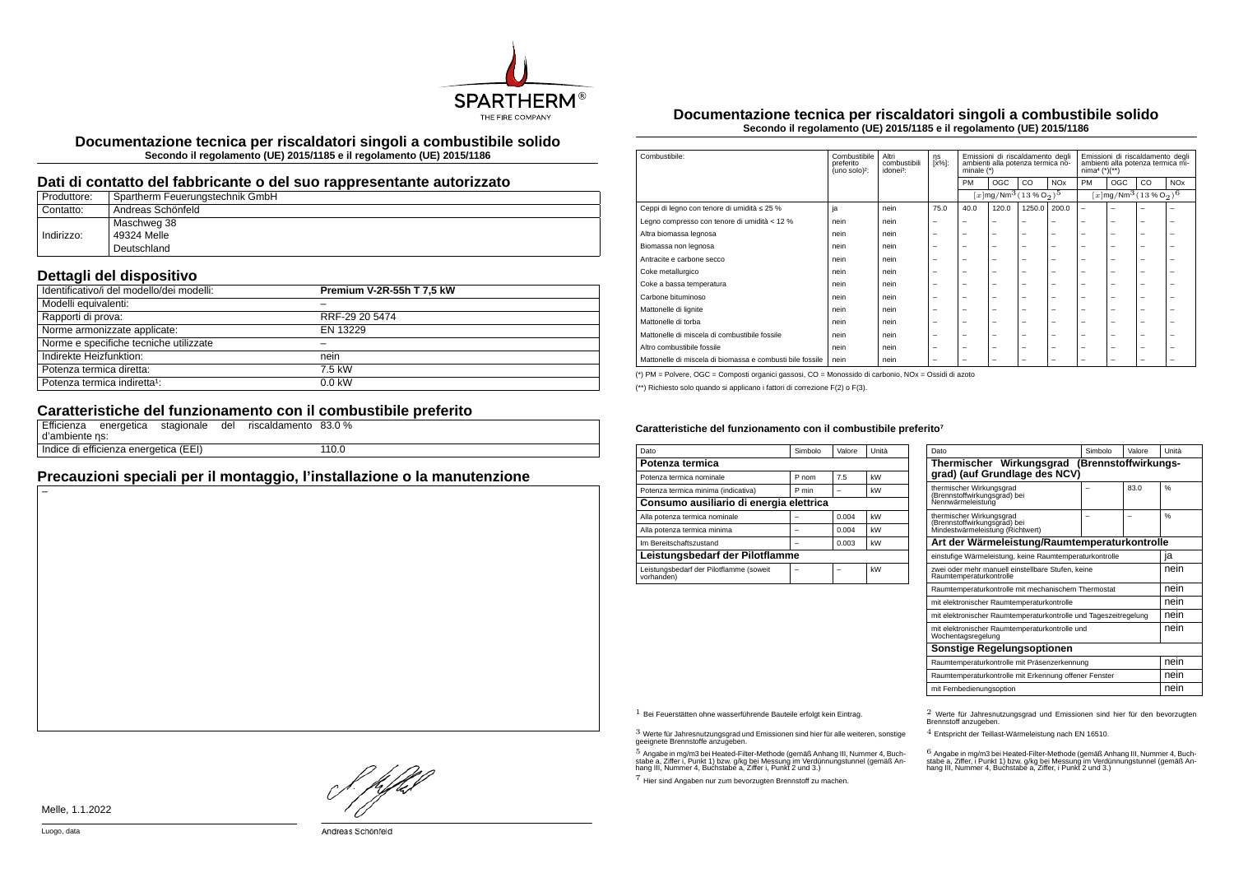

**Documentazione tecnica per riscaldatori singoli a combustibile solido Secondo il regolamento (UE) 2015/1185 e il regolamento (UE) 2015/1186**

### **Dati di contatto del fabbricante o del suo rappresentante autorizzato**

| Produttore: | Spartherm Feuerungstechnik GmbH |
|-------------|---------------------------------|
| Contatto:   | Andreas Schönfeld               |
|             | Maschweg 38                     |
| Indirizzo:  | 49324 Melle                     |
|             | Deutschland                     |

# **Dettagli del dispositivo**

| <br>Identificativo/i del modello/dei modelli: | Premium V-2R-55h T 7.5 kW |
|-----------------------------------------------|---------------------------|
| Modelli equivalenti:                          |                           |
| Rapporti di prova:                            | RRF-29 20 5474            |
| Norme armonizzate applicate:                  | EN 13229                  |
| Norme e specifiche tecniche utilizzate        |                           |
| Indirekte Heizfunktion:                       | nein                      |
| Potenza termica diretta:                      | 7.5 kW                    |
| Potenza termica indiretta <sup>1</sup> :      | $0.0$ kW                  |

# **Caratteristiche del funzionamento con il combustibile preferito**

| d'ambiente ns: | Efficienza energetica stagionale del  |  | riscaldamento 83.0 % |       |
|----------------|---------------------------------------|--|----------------------|-------|
|                | Indice di efficienza energetica (EEI) |  |                      | 110.0 |

## **Precauzioni speciali per il montaggio, l'installazione o la manutenzione**

**Documentazione tecnica per riscaldatori singoli a combustibile solido Secondo il regolamento (UE) 2015/1185 e il regolamento (UE) 2015/1186**

| Combustibile:                                             | Combustibile<br>preferito<br>(uno solo) <sup>2</sup> : | Altri<br>combustibili<br>idonei <sup>3</sup> : | ηs<br>[x%]:              | Emissioni di riscaldamento degli<br>ambienti alla potenza termica no-<br>minale $(*)$ |                          |                                                                | Emissioni di riscaldamento degli<br>ambienti alla potenza termica mi-<br>$nima4 (*)(**)$ |                          |                          |                                                                |                       |
|-----------------------------------------------------------|--------------------------------------------------------|------------------------------------------------|--------------------------|---------------------------------------------------------------------------------------|--------------------------|----------------------------------------------------------------|------------------------------------------------------------------------------------------|--------------------------|--------------------------|----------------------------------------------------------------|-----------------------|
|                                                           |                                                        |                                                |                          | <b>PM</b>                                                                             | OGC                      | CO                                                             | <b>NO<sub>x</sub></b>                                                                    | PM                       | OGC                      | CO                                                             | <b>NO<sub>x</sub></b> |
|                                                           |                                                        |                                                |                          |                                                                                       |                          | $[x]$ mg/Nm <sup>3</sup> $(13\%$ O <sub>2</sub> ) <sup>5</sup> |                                                                                          |                          |                          | $[x]$ mg/Nm <sup>3</sup> $(13\%$ O <sub>2</sub> ) <sup>6</sup> |                       |
| Ceppi di legno con tenore di umidità ≤ 25 %               | ja                                                     | nein                                           | 75.0                     | 40.0                                                                                  | 120.0                    | 1250.0                                                         | 200.0                                                                                    | ۰                        | -                        | ۰                                                              |                       |
| Legno compresso con tenore di umidità < 12 %              | nein                                                   | nein                                           | $\overline{\phantom{0}}$ | $\overline{\phantom{a}}$                                                              | $\overline{\phantom{a}}$ | -                                                              | -                                                                                        | -                        | $\overline{\phantom{0}}$ | -                                                              | -                     |
| Altra biomassa legnosa                                    | nein                                                   | nein                                           | $\overline{\phantom{0}}$ | $\overline{\phantom{0}}$                                                              | $\overline{\phantom{a}}$ | -                                                              | -                                                                                        | -                        | -                        | -                                                              |                       |
| Biomassa non legnosa                                      | nein                                                   | nein                                           | $\overline{\phantom{0}}$ | $\overline{\phantom{0}}$                                                              | $\overline{\phantom{a}}$ | -                                                              | -                                                                                        | $\overline{\phantom{0}}$ | $\overline{\phantom{0}}$ | -                                                              |                       |
| Antracite e carbone secco                                 | nein                                                   | nein                                           | $\overline{\phantom{0}}$ | $\overline{\phantom{0}}$                                                              | $\overline{\phantom{0}}$ | -                                                              | -                                                                                        | $\overline{\phantom{a}}$ | -                        | -                                                              | -                     |
| Coke metallurgico                                         | nein                                                   | nein                                           | $\overline{\phantom{0}}$ | $\overline{\phantom{0}}$                                                              | $\overline{\phantom{a}}$ | -                                                              | -                                                                                        | $\overline{\phantom{a}}$ | $\overline{\phantom{0}}$ | -                                                              | -                     |
| Coke a bassa temperatura                                  | nein                                                   | nein                                           | $\overline{\phantom{0}}$ | $\overline{\phantom{0}}$                                                              | $\overline{\phantom{0}}$ | -                                                              | -                                                                                        | -                        | $\overline{\phantom{0}}$ | -                                                              |                       |
| Carbone bituminoso                                        | nein                                                   | nein                                           | $\overline{\phantom{0}}$ | $\overline{\phantom{a}}$                                                              | $\overline{\phantom{a}}$ | -                                                              | -                                                                                        | -                        | -                        | -                                                              |                       |
| Mattonelle di lignite                                     | nein                                                   | nein                                           | $\overline{\phantom{0}}$ | $\overline{\phantom{0}}$                                                              | $\overline{\phantom{a}}$ | -                                                              | -                                                                                        | $\overline{\phantom{0}}$ | $\overline{\phantom{0}}$ | -                                                              |                       |
| Mattonelle di torba                                       | nein                                                   | nein                                           | $\overline{\phantom{0}}$ | $\overline{\phantom{0}}$                                                              | $\overline{\phantom{a}}$ | -                                                              | -                                                                                        | -                        | -                        | -                                                              |                       |
| Mattonelle di miscela di combustibile fossile             | nein                                                   | nein                                           | $\overline{\phantom{0}}$ | $\overline{\phantom{0}}$                                                              | $\overline{\phantom{a}}$ | -                                                              | -                                                                                        | -                        | -                        | -                                                              |                       |
| Altro combustibile fossile                                | nein                                                   | nein                                           | $\overline{\phantom{0}}$ | $\overline{\phantom{0}}$                                                              | $\overline{\phantom{a}}$ | -                                                              | -                                                                                        | -                        | -                        | -                                                              |                       |
| Mattonelle di miscela di biomassa e combusti bile fossile | nein                                                   | nein                                           | $\overline{\phantom{m}}$ | -                                                                                     | $\overline{\phantom{a}}$ | -                                                              | -                                                                                        | -                        | -                        | -                                                              |                       |

(\*) PM = Polvere, OGC = Composti organici gassosi, CO = Monossido di carbonio, NOx = Ossidi di azoto

(\*\*) Richiesto solo quando si applicano i fattori di correzione F(2) o F(3).

#### Caratteristiche del funzionamento con il combustibile preferito<sup>7</sup>

| Dato                                                  | Simbolo | Valore | Unità |  |  |
|-------------------------------------------------------|---------|--------|-------|--|--|
| Potenza termica                                       |         |        |       |  |  |
| Potenza termica nominale                              | P nom   | 7.5    | kW    |  |  |
| Potenza termica minima (indicativa)                   | P min   |        | kW    |  |  |
| Consumo ausiliario di energia elettrica               |         |        |       |  |  |
| Alla potenza termica nominale                         |         | 0.004  | kW    |  |  |
| Alla potenza termica minima                           |         | 0.004  | kW    |  |  |
| Im Bereitschaftszustand                               |         | 0.003  | kW    |  |  |
| Leistungsbedarf der Pilotflamme                       |         |        |       |  |  |
| Leistungsbedarf der Pilotflamme (soweit<br>vorhanden) |         |        | kW    |  |  |

| Dato                                                                                         | Simbolo              | Valore | Unità |  |  |
|----------------------------------------------------------------------------------------------|----------------------|--------|-------|--|--|
| Thermischer Wirkungsgrad<br>grad) (auf Grundlage des NCV)                                    | (Brennstoffwirkungs- |        |       |  |  |
| thermischer Wirkungsgrad<br>(Brennstoffwirkungsgrad) bei<br>Nennwärmeleistung                |                      | 83.0   | %     |  |  |
| thermischer Wirkungsgrad<br>(Brennstoffwirkungsgräd) bei<br>Mindestwärmeleistung (Richtwert) |                      |        | 0/6   |  |  |
| Art der Wärmeleistung/Raumtemperaturkontrolle                                                |                      |        |       |  |  |
| einstufige Wärmeleistung, keine Raumtemperaturkontrolle                                      |                      |        | ia    |  |  |
| zwei oder mehr manuell einstellbare Stufen, keine<br>Raumtemperaturkontrolle                 |                      |        | nein  |  |  |
| Raumtemperaturkontrolle mit mechanischem Thermostat                                          |                      |        | nein  |  |  |
| mit elektronischer Raumtemperaturkontrolle                                                   |                      |        | nein  |  |  |
| mit elektronischer Raumtemperaturkontrolle und Tageszeitregelung                             |                      |        | nein  |  |  |
| mit elektronischer Raumtemperaturkontrolle und<br>Wochentagsregelung                         |                      |        |       |  |  |
| Sonstige Regelungsoptionen                                                                   |                      |        |       |  |  |
| Raumtemperaturkontrolle mit Präsenzerkennung                                                 |                      |        |       |  |  |
| Raumtemperaturkontrolle mit Erkennung offener Fenster                                        |                      |        | nein  |  |  |
| mit Fernbedienungsoption                                                                     |                      |        | nein  |  |  |

3 Werte für Jahresnutzungsgrad und Emissionen sind hier für alle weiteren, sonstige geeignete Brennstoffe anzugeben.

.<br>5 Angabe in mg/m3 bei Heated-Filter-Methode (gemäß Anhang III, Nummer 4, Buch-<br>stabe a, Ziffer i, Punkt 1) bzw. g/kg bei Nessung im Verdünnungstunnel (gemäß An-<br>hang III, Nummer 4, Buchstabe a, Ziffer i, Punkt 2 und 3.)

7 Hier sind Angaben nur zum bevorzugten Brennstoff zu machen.

1 Bei Feuerstätten ohne wasserführende Bauteile erfolgt kein Eintrag. 2 Werte für Jahresnutzungsgrad und Emissionen sind hier für den bevorzugten Brennstoff anzugeben.

4 Entspricht der Teillast-Wärmeleistung nach EN 16510.

.<br>stabe a, Ziffer, i Punkt 1) bzw. g/kg bei Messung im Verdünnungstunnel (gemäß An-<br>hang III, Nummer 4, Buchstabe a, Ziffer, i Punkt 2 und 3.)<br>hang III, Nummer 4, Buchstabe a, Ziffer, i Punkt 2 und 3.)

Melle, 1.1.2022

HJEV